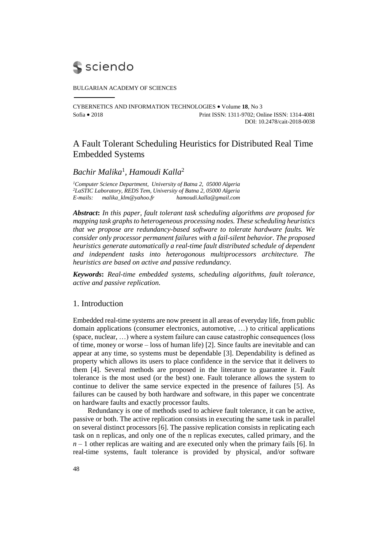# **S** sciendo

BULGARIAN ACADEMY OF SCIENCES

CYBERNETICS AND INFORMATION TECHNOLOGIES Volume **18**, No 3 Sofia 2018 Print ISSN: 1311-9702; Online ISSN: 1314-4081 DOI: 10.2478/cait-2018-0038

# A Fault Tolerant Scheduling Heuristics for Distributed Real Time Embedded Systems

# *Bachir Malika*<sup>1</sup> *, Hamoudi Kalla*<sup>2</sup>

*<sup>1</sup>Computer Science Department, University of Batna 2, 05000 Algeria <sup>2</sup>LaSTIC Laboratory, REDS Tem, University of Batna 2, 05000 Algeria E-mails: [malika\\_klm@yahoo.fr](mailto:malika_klm@yahoo.fr) [hamoudi.kalla@gmail.com](mailto:hamoudi.kalla@gmail.com)*

*Abstract***:** *In this paper, fault tolerant task scheduling algorithms are proposed for mapping task graphs to heterogeneous processing nodes. These scheduling heuristics that we propose are redundancy-based software to tolerate hardware faults. We consider only processor permanent failures with a fail-silent behavior. The proposed heuristics generate automatically a real-time fault distributed schedule of dependent and independent tasks into heterogonous multiprocessors architecture. The heuristics are based on active and passive redundancy.*

*Keywords***:** *Real-time embedded systems, scheduling algorithms, fault tolerance, active and passive replication.*

## 1. Introduction

Embedded real-time systems are now present in all areas of everyday life, from public domain applications (consumer electronics, automotive, …) to critical applications (space, nuclear, …) where a system failure can cause catastrophic consequences (loss of time, money or worse – loss of human life) [2]. Since faults are inevitable and can appear at any time, so systems must be dependable [3]. Dependability is defined as property which allows its users to place confidence in the service that it delivers to them [4]. Several methods are proposed in the literature to guarantee it. Fault tolerance is the most used (or the best) one. Fault tolerance allows the system to continue to deliver the same service expected in the presence of failures [5]. As failures can be caused by both hardware and software, in this paper we concentrate on hardware faults and exactly processor faults.

Redundancy is one of methods used to achieve fault tolerance, it can be active, passive or both. The active replication consists in executing the same task in parallel on several distinct processors [6]. The passive replication consists in replicating each task on n replicas, and only one of the n replicas executes, called primary, and the  $n-1$  other replicas are waiting and are executed only when the primary fails [6]. In real-time systems, fault tolerance is provided by physical, and/or software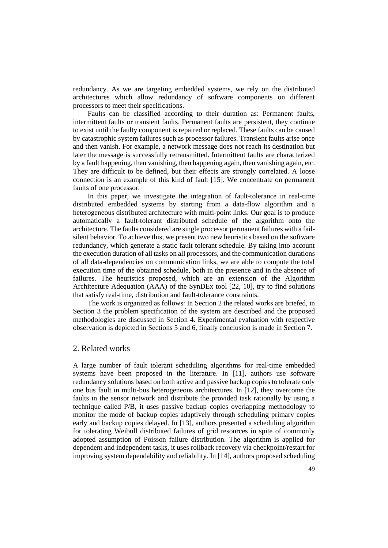redundancy. As we are targeting embedded systems, we rely on the distributed architectures which allow redundancy of software components on different processors to meet their specifications.

Faults can be classified according to their duration as: Permanent faults, intermittent faults or transient faults. Permanent faults are persistent, they continue to exist until the faulty component is repaired or replaced. These faults can be caused by catastrophic system failures such as processor failures. Transient faults arise once and then vanish. For example, a network message does not reach its destination but later the message is successfully retransmitted. Intermittent faults are characterized by a fault happening, then vanishing, then happening again, then vanishing again, etc. They are difficult to be defined, but their effects are strongly correlated. A loose connection is an example of this kind of fault [15]. We concentrate on permanent faults of one processor.

In this paper, we investigate the integration of fault-tolerance in real-time distributed embedded systems by starting from a data-flow algorithm and a heterogeneous distributed architecture with multi-point links. Our goal is to produce automatically a fault-tolerant distributed schedule of the algorithm onto the architecture. The faults considered are single processor permanent failures with a failsilent behavior. To achieve this, we present two new heuristics based on the software redundancy, which generate a static fault tolerant schedule. By taking into account the execution duration of all tasks on all processors, and the communication durations of all data-dependencies on communication links, we are able to compute the total execution time of the obtained schedule, both in the presence and in the absence of failures. The heuristics proposed, which are an extension of the Algorithm Architecture Adequation (AAA) of the SynDEx tool [22, 10], try to find solutions that satisfy real-time, distribution and fault-tolerance constraints.

The work is organized as follows: In Section 2 the related works are briefed, in Section 3 the problem specification of the system are described and the proposed methodologies are discussed in Section 4. Experimental evaluation with respective observation is depicted in Sections 5 and 6, finally conclusion is made in Section 7.

## 2. Related works

A large number of fault tolerant scheduling algorithms for real-time embedded systems have been proposed in the literature. In [11], authors use software redundancy solutions based on both active and passive backup copies to tolerate only one bus fault in multi-bus heterogeneous architectures. In [12], they overcome the faults in the sensor network and distribute the provided task rationally by using a technique called P/B, it uses passive backup copies overlapping methodology to monitor the mode of backup copies adaptively through scheduling primary copies early and backup copies delayed. In [13], authors presented a scheduling algorithm for tolerating Weibull distributed failures of grid resources in spite of commonly adopted assumption of Poisson failure distribution. The algorithm is applied for dependent and independent tasks, it uses rollback recovery via checkpoint/restart for improving system dependability and reliability. In [14], authors proposed scheduling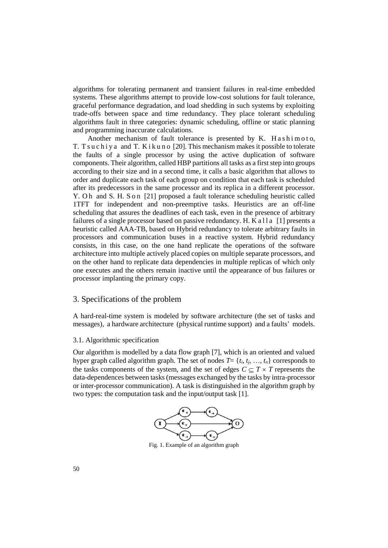algorithms for tolerating permanent and transient failures in real-time embedded systems. These algorithms attempt to provide low-cost solutions for fault tolerance, graceful performance degradation, and load shedding in such systems by exploiting trade-offs between space and time redundancy. They place tolerant scheduling algorithms fault in three categories: dynamic scheduling, offline or static planning and programming inaccurate calculations.

Another mechanism of fault tolerance is presented by K. Hashimoto, T. T s u c h i y a and T. K i k u n o [20]. This mechanism makes it possible to tolerate the faults of a single processor by using the active duplication of software components. Their algorithm, called HBP partitions all tasks as a first step into groups according to their size and in a second time, it calls a basic algorithm that allows to order and duplicate each task of each group on condition that each task is scheduled after its predecessors in the same processor and its replica in a different processor. Y. Oh and S. H. S on [21] proposed a fault tolerance scheduling heuristic called 1TFT for independent and non-preemptive tasks. Heuristics are an off-line scheduling that assures the deadlines of each task, even in the presence of arbitrary failures of a single processor based on passive redundancy. H. K a  $11a \, 11$  presents a heuristic called AAA-TB, based on Hybrid redundancy to tolerate arbitrary faults in processors and communication buses in a reactive system. Hybrid redundancy consists, in this case, on the one hand replicate the operations of the software architecture into multiple actively placed copies on multiple separate processors, and on the other hand to replicate data dependencies in multiple replicas of which only one executes and the others remain inactive until the appearance of bus failures or processor implanting the primary copy.

## 3. Specifications of the problem

A hard-real-time system is modeled by software architecture (the set of tasks and messages), a hardware architecture (physical runtime support) and a faults' models.

#### 3.1. Algorithmic specification

Our algorithm is modelled by a data flow graph [7], which is an oriented and valued hyper graph called algorithm graph. The set of nodes  $T = \{t_i, t_j, \ldots, t_n\}$  corresponds to the tasks components of the system, and the set of edges  $C \subseteq T \times T$  represents the data-dependences between tasks (messages exchanged by the tasks by intra-processor or inter-processor communication). A task is distinguished in the algorithm graph by two types: the computation task and the input/output task [1].



Fig. 1. Example of an algorithm graph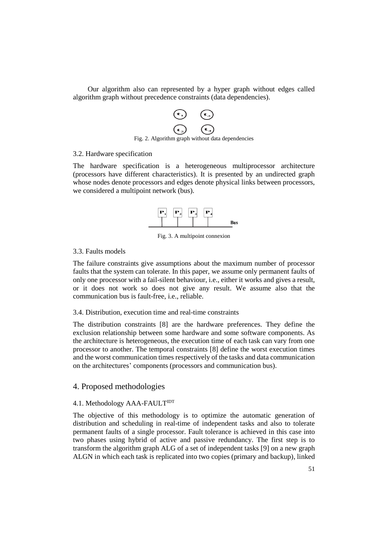Our algorithm also can represented by a hyper graph without edges called algorithm graph without precedence constraints (data dependencies).



## 3.2. Hardware specification

The hardware specification is a heterogeneous multiprocessor architecture (processors have different characteristics). It is presented by an undirected graph whose nodes denote processors and edges denote physical links between processors, we considered a multipoint network (bus).



Fig. 3. A multipoint connexion

## 3.3. Faults models

The failure constraints give assumptions about the maximum number of processor faults that the system can tolerate. In this paper, we assume only permanent faults of only one processor with a fail-silent behaviour, i.e., either it works and gives a result, or it does not work so does not give any result. We assume also that the communication bus is fault-free, i.e., reliable.

## 3.4. Distribution, execution time and real-time constraints

The distribution constraints [8] are the hardware preferences. They define the exclusion relationship between some hardware and some software components. As the architecture is heterogeneous, the execution time of each task can vary from one processor to another. The temporal constraints [8] define the worst execution times and the worst communication times respectively of the tasks and data communication on the architectures' components (processors and communication bus).

## 4. Proposed methodologies

## 4.1. Methodology AAA-FAULT<sup>IDT</sup>

The objective of this methodology is to optimize the automatic generation of distribution and scheduling in real-time of independent tasks and also to tolerate permanent faults of a single processor. Fault tolerance is achieved in this case into two phases using hybrid of active and passive redundancy. The first step is to transform the algorithm graph ALG of a set of independent tasks [9] on a new graph ALGN in which each task is replicated into two copies (primary and backup), linked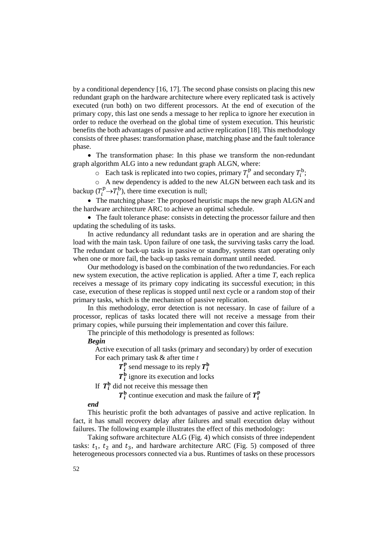by a conditional dependency [16, 17]. The second phase consists on placing this new redundant graph on the hardware architecture where every replicated task is actively executed (run both) on two different processors. At the end of execution of the primary copy, this last one sends a message to her replica to ignore her execution in order to reduce the overhead on the global time of system execution. This heuristic benefits the both advantages of passive and active replication [18]. This methodology consists of three phases: transformation phase, matching phase and the fault tolerance phase.

 The transformation phase: In this phase we transform the non-redundant graph algorithm ALG into a new redundant graph ALGN, where:

 $\circ$  Each task is replicated into two copies, primary  $T_i^{\text{p}}$  and secondary  $T_i^{\text{b}}$ ;

o A new dependency is added to the new ALGN between each task and its backup  $(T_i^{\text{p}} \rightarrow T_i^{\text{b}})$ , there time execution is null;

 The matching phase: The proposed heuristic maps the new graph ALGN and the hardware architecture ARC to achieve an optimal schedule.

 The fault tolerance phase: consists in detecting the processor failure and then updating the scheduling of its tasks.

In active redundancy all redundant tasks are in operation and are sharing the load with the main task. Upon failure of one task, the surviving tasks carry the load. The redundant or back-up tasks in passive or standby, systems start operating only when one or more fail, the back-up tasks remain dormant until needed.

Our methodology is based on the combination of the two redundancies. For each new system execution, the active replication is applied. After a time *T*, each replica receives a message of its primary copy indicating its successful execution; in this case, execution of these replicas is stopped until next cycle or a random stop of their primary tasks, which is the mechanism of passive replication.

In this methodology, error detection is not necessary. In case of failure of a processor, replicas of tasks located there will not receive a message from their primary copies, while pursuing their implementation and cover this failure.

The principle of this methodology is presented as follows:

#### *Begin*

Active execution of all tasks (primary and secondary) by order of execution For each primary task & after time *t*

 $T_i^{\text{p}}$  send message to its reply  $T_i^{\text{b}}$ 

 $T_i^b$  ignore its execution and locks

If  $T_i^b$  did not receive this message then

 $T_i^b$  continue execution and mask the failure of  $T_i^b$ 

#### *end*

This heuristic profit the both advantages of passive and active replication. In fact, it has small recovery delay after failures and small execution delay without failures. The following example illustrates the effect of this methodology:

Taking software architecture ALG (Fig. 4) which consists of three independent tasks:  $t_1$ ,  $t_2$  and  $t_3$ , and hardware architecture ARC (Fig. 5) composed of three heterogeneous processors connected via a bus. Runtimes of tasks on these processors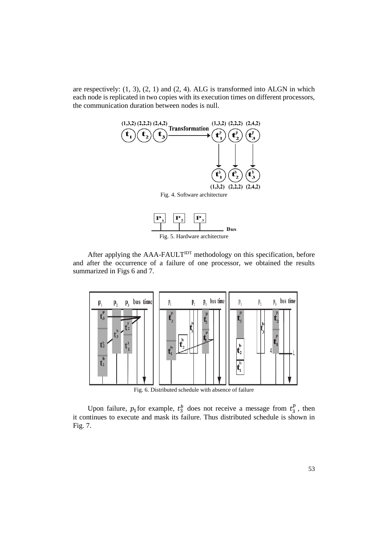are respectively: (1, 3), (2, 1) and (2, 4). ALG is transformed into ALGN in which each node is replicated in two copies with its execution times on different processors, the communication duration between nodes is null.





After applying the  $AAA-FAULT<sup>IDT</sup>$  methodology on this specification, before and after the occurrence of a failure of one processor, we obtained the results summarized in Figs 6 and 7.



Fig. 6. Distributed schedule with absence of failure

Upon failure,  $p_1$  for example,  $t_3^b$  does not receive a message from  $t_3^p$ , then it continues to execute and mask its failure. Thus distributed schedule is shown in Fig. 7.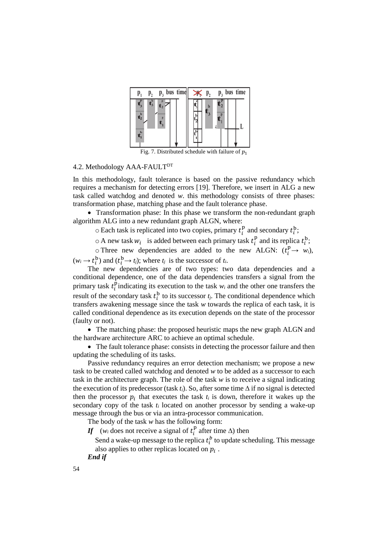

Fig. 7. Distributed schedule with failure of  $p_1$ 

## 4.2. Methodology AAA-FAULT<sup>DT</sup>

In this methodology, fault tolerance is based on the passive redundancy which requires a mechanism for detecting errors [19]. Therefore, we insert in ALG a new task called watchdog and denoted *w*. this methodology consists of three phases: transformation phase, matching phase and the fault tolerance phase.

• Transformation phase: In this phase we transform the non-redundant graph algorithm ALG into a new redundant graph ALGN, where:

 $\circ$  Each task is replicated into two copies, primary  $t_i^1$  $\frac{p}{i}$  and secondary  $t_i^b$ ;

 $\circ$  A new task  $w_i$  is added between each primary task  $t_i$  $_i^p$  and its replica  $t_i^b$ ;

 $\circ$  Three new dependencies are added to the new ALGN:  $(t_i^p \rightarrow w_i)$ ,  $(w_i \rightarrow t_i^b)$  and  $(t_i^b \rightarrow t_j)$ ; where  $t_j$  is the successor of  $t_i$ .

The new dependencies are of two types: two data dependencies and a conditional dependence, one of the data dependencies transfers a signal from the primary task  $t_i^{\dagger}$  $\sum_{i=1}^{p}$  indicating its execution to the task  $w_i$  and the other one transfers the result of the secondary task  $t_i^b$  to its successor  $t_j$ . The conditional dependence which transfers awakening message since the task *w* towards the replica of each task, it is called conditional dependence as its execution depends on the state of the processor (faulty or not).

• The matching phase: the proposed heuristic maps the new graph ALGN and the hardware architecture ARC to achieve an optimal schedule.

• The fault tolerance phase: consists in detecting the processor failure and then updating the scheduling of its tasks.

Passive redundancy requires an error detection mechanism; we propose a new task to be created called watchdog and denoted *w* to be added as a successor to each task in the architecture graph. The role of the task *w* is to receive a signal indicating the execution of its predecessor (task  $t_i$ ). So, after some time  $\Delta$  if no signal is detected then the processor  $p_i$  that executes the task  $t_i$  is down, therefore it wakes up the secondary copy of the task *t<sup>i</sup>* located on another processor by sending a wake-up message through the bus or via an intra-processor communication.

The body of the task *w* has the following form:

If  $(w_i \text{ does not receive a signal of } t_i^1$  $_{i}^{p}$  after time  $\Delta$ ) then

Send a wake-up message to the replica  $t_i^b$  to update scheduling. This message also applies to other replicas located on  $p_i$ .

*End if*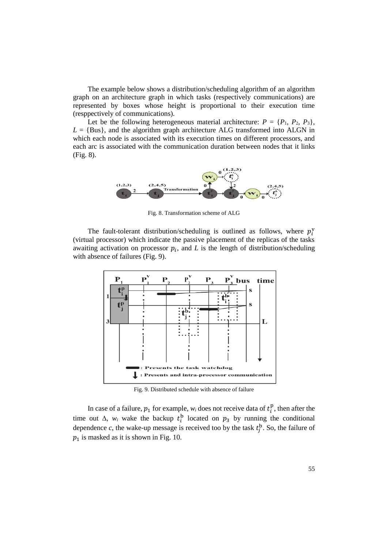The example below shows a distribution/scheduling algorithm of an algorithm graph on an architecture graph in which tasks (respectively communications) are represented by boxes whose height is proportional to their execution time (resppectively of communications).

Let be the following heterogeneous material architecture:  $P = \{P_1, P_2, P_3\}$ ,  $L = \{Bus\}$ , and the algorithm graph architecture ALG transformed into ALGN in which each node is associated with its execution times on different processors, and each arc is associated with the communication duration between nodes that it links (Fig. 8).



Fig. 8. Transformation scheme of ALG

The fault-tolerant distribution/scheduling is outlined as follows, where  $p_i^v$ (virtual processor) which indicate the passive placement of the replicas of the tasks awaiting activation on processor  $p_i$ , and  $L$  is the length of distribution/scheduling with absence of failures (Fig. 9).



Fig. 9. Distributed schedule with absence of failure

In case of a failure,  $p_1$  for example,  $w_i$  does not receive data of  $t_i^1$  $_{i}^{\text{p}}$ , then after the time out  $\Delta$ ,  $w_i$  wake the backup  $t_i^b$  located on  $p_3$  by running the conditional dependence  $c$ , the wake-up message is received too by the task  $t_j^b$ . So, the failure of  $p_1$  is masked as it is shown in Fig. 10.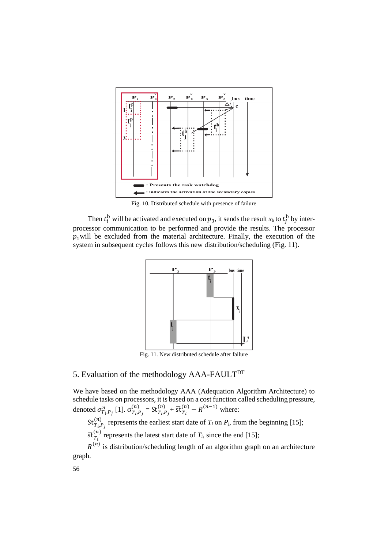

Fig. 10. Distributed schedule with presence of failure

Then  $t_i^b$  will be activated and executed on  $p_3$ , it sends the result  $x_b$  to  $t_j^b$  by interprocessor communication to be performed and provide the results. The processor  $p_1$  will be excluded from the material architecture. Finally, the execution of the system in subsequent cycles follows this new distribution/scheduling (Fig. 11).



Fig. 11. New distributed schedule after failure

# 5. Evaluation of the methodology AAA-FAULT<sup>DT</sup>

We have based on the methodology AAA (Adequation Algorithm Architecture) to schedule tasks on processors, it is based on a cost function called scheduling pressure, denoted  $\sigma^n_{T_i,P_j}$  [1].  $\sigma^{(n)}_{T_i,P_j}$  $\binom{n}{T_i,P_j}$  = St $\binom{n}{T_i,P_j}$  $\frac{(n)}{T_i P_j} + \overline{\text{st}} \frac{(n)}{T_i} - R^{(n-1)}$  where:

 $\operatorname{St}_{T_i,P_j}^{(n)}$  $\binom{n}{r}$  represents the earliest start date of  $T_i$  on  $P_j$ , from the beginning [15];

 $\overline{\text{st}}_{T_i}^{(n)}$  represents the latest start date of  $T_i$ , since the end [15];

 $R^{(n)}$  is distribution/scheduling length of an algorithm graph on an architecture graph.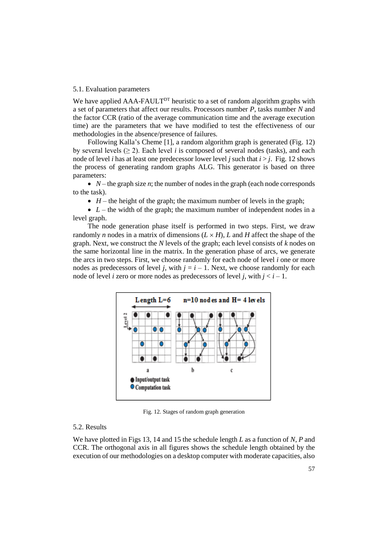#### 5.1. Evaluation parameters

We have applied AAA-FAULT<sup>DT</sup> heuristic to a set of random algorithm graphs with a set of parameters that affect our results. Processors number *P*, tasks number *N* and the factor CCR (ratio of the average communication time and the average execution time) are the parameters that we have modified to test the effectiveness of our methodologies in the absence/presence of failures.

Following Kalla's Cheme [1], a random algorithm graph is generated (Fig. 12) by several levels  $(≥ 2)$ . Each level *i* is composed of several nodes (tasks), and each node of level *i* has at least one predecessor lower level *j* such that  $i > j$ . Fig. 12 shows the process of generating random graphs ALG. This generator is based on three parameters:

•  $N$  – the graph size *n*; the number of nodes in the graph (each node corresponds to the task).

 $\bullet$  *H* – the height of the graph; the maximum number of levels in the graph;

•  $L$  – the width of the graph; the maximum number of independent nodes in a level graph.

The node generation phase itself is performed in two steps. First, we draw randomly *n* nodes in a matrix of dimensions  $(L \times H)$ , *L* and *H* affect the shape of the graph. Next, we construct the *N* levels of the graph; each level consists of *k* nodes on the same horizontal line in the matrix. In the generation phase of arcs, we generate the arcs in two steps. First, we choose randomly for each node of level *i* one or more nodes as predecessors of level *j*, with  $j = i - 1$ . Next, we choose randomly for each node of level *i* zero or more nodes as predecessors of level *j*, with  $j < i - 1$ .



Fig. 12. Stages of random graph generation

## 5.2. Results

We have plotted in Figs 13, 14 and 15 the schedule length *L* as a function of *N*, *P* and CCR. The orthogonal axis in all figures shows the schedule length obtained by the execution of our methodologies on a desktop computer with moderate capacities, also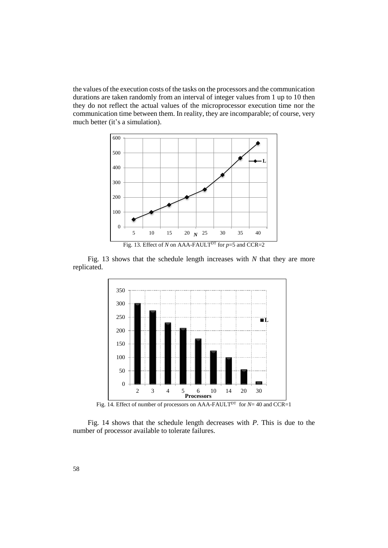the values of the execution costs of the tasks on the processors and the communication durations are taken randomly from an interval of integer values from 1 up to 10 then they do not reflect the actual values of the microprocessor execution time nor the communication time between them. In reality, they are incomparable; of course, very much better (it's a simulation).



Fig. 13 shows that the schedule length increases with *N* that they are more replicated.



Fig. 14. Effect of number of processors on AAA-FAULT<sup>DT</sup> for *N*= 40 and CCR=1

Fig. 14 shows that the schedule length decreases with *P*. This is due to the number of processor available to tolerate failures.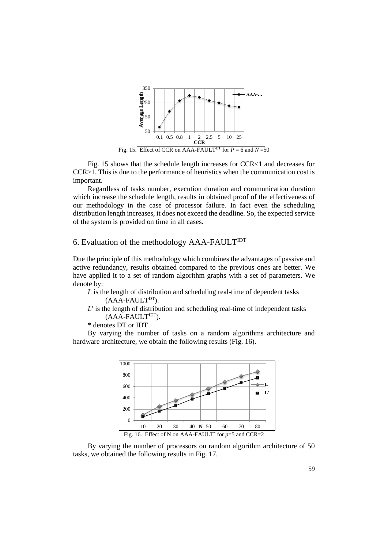

Fig. 15 shows that the schedule length increases for CCR<1 and decreases for CCR>1. This is due to the performance of heuristics when the communication cost is important.

Regardless of tasks number, execution duration and communication duration which increase the schedule length, results in obtained proof of the effectiveness of our methodology in the case of processor failure. In fact even the scheduling distribution length increases, it does not exceed the deadline. So, the expected service of the system is provided on time in all cases.

## 6. Evaluation of the methodology  $AAA$ -FAULT<sup>IDT</sup>

Due the principle of this methodology which combines the advantages of passive and active redundancy, results obtained compared to the previous ones are better. We have applied it to a set of random algorithm graphs with a set of parameters. We denote by:

- *L* is the length of distribution and scheduling real-time of dependent tasks  $(AAA-FAULT<sup>DT</sup>).$
- *L*′ is the length of distribution and scheduling real-time of independent tasks  $(AAA-FAULT<sup>IDT</sup>).$
- \* denotes DT or IDT

By varying the number of tasks on a random algorithms architecture and hardware architecture, we obtain the following results (Fig. 16).



By varying the number of processors on random algorithm architecture of 50 tasks, we obtained the following results in Fig. 17.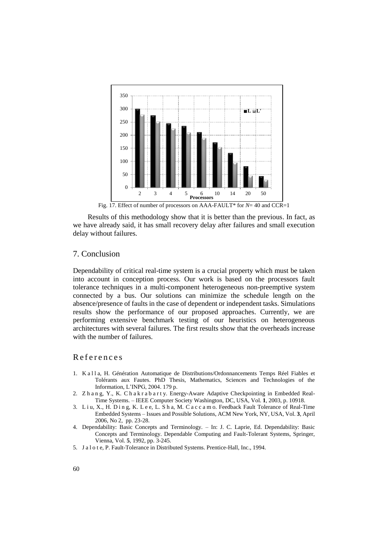

Fig. 17. Effect of number of processors on AAA-FAULT\* for *N*= 40 and CCR=1

Results of this methodology show that it is better than the previous. In fact, as we have already said, it has small recovery delay after failures and small execution delay without failures.

## 7. Conclusion

Dependability of critical real-time system is a crucial property which must be taken into account in conception process. Our work is based on the processors fault tolerance techniques in a multi-component heterogeneous non-preemptive system connected by a bus. Our solutions can minimize the schedule length on the absence/presence of faults in the case of dependent or independent tasks. Simulations results show the performance of our proposed approaches. Currently, we are performing extensive benchmark testing of our heuristics on heterogeneous architectures with several failures. The first results show that the overheads increase with the number of failures.

## R e f e r e n c e s

- 1. K a l l a, H. Génération Automatique de Distributions/Ordonnancements Temps Réel Fiables et Tolérants aux Fautes. PhD Thesis, Mathematics, Sciences and Technologies of the Information, L'INPG, 2004. 179 p.
- 2. Z h a n g, Y., K. C h a k r a b a r t y. Energy-Aware Adaptive Checkpointing in Embedded Real-Time Systems. – IEEE Computer Society Washington, DC, USA, Vol. **1**, 2003, p. 10918.
- 3. L i u, X., H. D i n g, K. L e e, L. S h a, M. C a c c a m o. Feedback Fault Tolerance of Real-Time Embedded Systems – Issues and Possible Solutions[, ACM](https://www.acm.org/publications) New York, NY, USA, Vol. **3**, April 2006, No 2, pp. 23-28.
- 4. Dependability: Basic Concepts and Terminology. In: J. C. Laprie, Ed. Dependability: Basic Concepts and Terminology. Dependable Computing and Fault-Tolerant Systems, Springer, Vienna, Vol. **5**, 1992, pp. 3-245.
- 5. J a l o t e, P. Fault-Tolerance in Distributed Systems. Prentice-Hall, Inc., 1994.